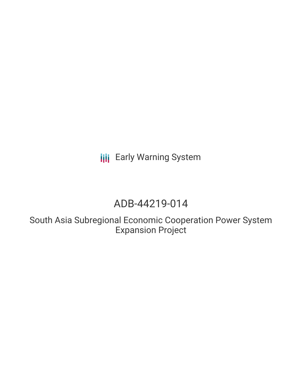**III** Early Warning System

## ADB-44219-014

South Asia Subregional Economic Cooperation Power System Expansion Project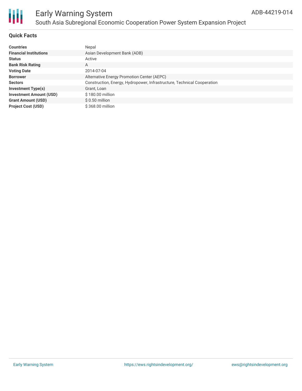

#### **Quick Facts**

| <b>Countries</b>               | Nepal                                                                   |
|--------------------------------|-------------------------------------------------------------------------|
| <b>Financial Institutions</b>  | Asian Development Bank (ADB)                                            |
| <b>Status</b>                  | Active                                                                  |
| <b>Bank Risk Rating</b>        | A                                                                       |
| <b>Voting Date</b>             | 2014-07-04                                                              |
| <b>Borrower</b>                | Alternative Energy Promotion Center (AEPC)                              |
| <b>Sectors</b>                 | Construction, Energy, Hydropower, Infrastructure, Technical Cooperation |
| <b>Investment Type(s)</b>      | Grant, Loan                                                             |
| <b>Investment Amount (USD)</b> | \$180.00 million                                                        |
| <b>Grant Amount (USD)</b>      | $$0.50$ million                                                         |
| <b>Project Cost (USD)</b>      | \$368.00 million                                                        |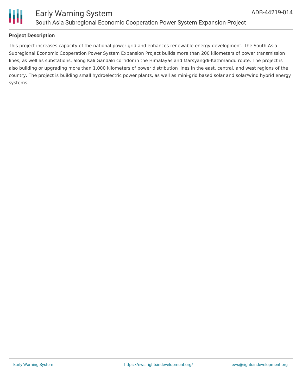

# Ш

### **Project Description**

This project increases capacity of the national power grid and enhances renewable energy development. The South Asia Subregional Economic Cooperation Power System Expansion Project builds more than 200 kilometers of power transmission lines, as well as substations, along Kali Gandaki corridor in the Himalayas and Marsyangdi-Kathmandu route. The project is also building or upgrading more than 1,000 kilometers of power distribution lines in the east, central, and west regions of the country. The project is building small hydroelectric power plants, as well as mini-grid based solar and solar/wind hybrid energy systems.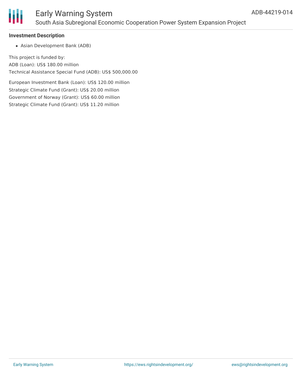

## Early Warning System South Asia Subregional Economic Cooperation Power System Expansion Project

#### **Investment Description**

Asian Development Bank (ADB)

This project is funded by: ADB (Loan): US\$ 180.00 million Technical Assistance Special Fund (ADB): US\$ 500,000.00

European Investment Bank (Loan): US\$ 120.00 million Strategic Climate Fund (Grant): US\$ 20.00 million Government of Norway (Grant): US\$ 60.00 million Strategic Climate Fund (Grant): US\$ 11.20 million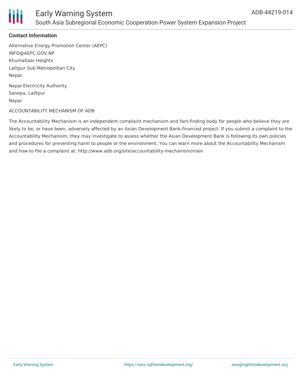

#### **Contact Information**

Alternative Energy Promotion Center (AEPC) INFO@AEPC.GOV.NP Khumaltaar Heights Lalitpur Sub Metropolitan City Nepal

Nepal Electricity Authority Sanepa, Lalitpur Nepal

#### ACCOUNTABILITY MECHANISM OF ADB

The Accountability Mechanism is an independent complaint mechanism and fact-finding body for people who believe they are likely to be, or have been, adversely affected by an Asian Development Bank-financed project. If you submit a complaint to the Accountability Mechanism, they may investigate to assess whether the Asian Development Bank is following its own policies and procedures for preventing harm to people or the environment. You can learn more about the Accountability Mechanism and how to file a complaint at: http://www.adb.org/site/accountability-mechanism/main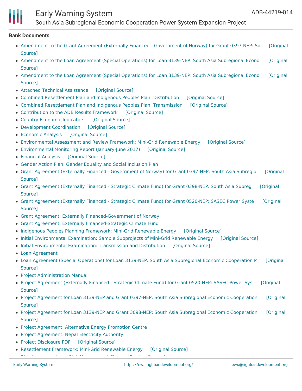## Early Warning System

South Asia Subregional Economic Cooperation Power System Expansion Project

#### **Bank Documents**

- Amendment to the Grant Agreement (Externally Financed [Government](https://ewsdata.rightsindevelopment.org/files/documents/14/ADB-44219-014_GGp6fZP.pdf) of Norway) for Grant 0397-NEP: So [Original Source]
- [Amendment](https://ewsdata.rightsindevelopment.org/files/documents/14/ADB-44219-014_7JhzJpS.pdf) to the Loan Agreement (Special Operations) for Loan 3139-NEP: South Asia Subregional Econo [Original Source]
- [Amendment](https://ewsdata.rightsindevelopment.org/files/documents/14/ADB-44219-014_5Zm5Tzj.pdf) to the Loan Agreement (Special Operations) for Loan 3139-NEP: South Asia Subregional Econo [Original Source]
- Attached Technical [Assistance](https://ewsdata.rightsindevelopment.org/files/documents/14/ADB-44219-014_M1VybSv.pdf) [\[Original](https://www.adb.org/projects/documents/sasec-power-system-expansion-project-rrp) Source]
- Combined [Resettlement](https://ewsdata.rightsindevelopment.org/files/documents/14/ADB-44219-014_zDNM9UK.pdf) Plan and Indigenous Peoples Plan: Distribution [\[Original](https://www.adb.org/projects/documents/sasec-power-system-expansion-project-rrp) Source]
- Combined [Resettlement](https://ewsdata.rightsindevelopment.org/files/documents/14/ADB-44219-014_Y7Jc5gy.pdf) Plan and Indigenous Peoples Plan: Transmission [\[Original](https://www.adb.org/projects/documents/sasec-power-system-expansion-project-rrp) Source]
- [Contribution](https://ewsdata.rightsindevelopment.org/files/documents/14/ADB-44219-014_wFpKe8g.pdf) to the ADB Results Framework [\[Original](https://www.adb.org/projects/documents/sasec-power-system-expansion-project-rrp) Source]
- Country Economic [Indicators](https://ewsdata.rightsindevelopment.org/files/documents/14/ADB-44219-014_DuwCJk1.pdf) [\[Original](https://www.adb.org/projects/documents/sasec-power-system-expansion-project-rrp) Source]
- [Development](https://ewsdata.rightsindevelopment.org/files/documents/14/ADB-44219-014_7OuPlGI.pdf) Coordination [\[Original](https://www.adb.org/projects/documents/sasec-power-system-expansion-project-rrp) Source]
- [Economic](https://ewsdata.rightsindevelopment.org/files/documents/14/ADB-44219-014_6WV8j9B.pdf) Analysis [\[Original](https://www.adb.org/projects/documents/sasec-power-system-expansion-project-rrp) Source]
- [Environmental](https://ewsdata.rightsindevelopment.org/files/documents/14/ADB-44219-014_G0HE6Kr.pdf) Assessment and Review Framework: Mini-Grid Renewable Energy [\[Original](https://www.adb.org/projects/documents/sasec-power-system-expansion-project-rrp) Source]
- [Environmental](https://ewsdata.rightsindevelopment.org/files/documents/14/ADB-44219-014_vn8q5Fq.pdf) Monitoring Report (January-June 2017) [\[Original](https://www.adb.org/sites/default/files/project-documents/44219/44219-014-emr-en.pdf) Source]
- [Financial](https://ewsdata.rightsindevelopment.org/files/documents/14/ADB-44219-014_lqtjYjb.pdf) Analysis [\[Original](https://www.adb.org/projects/documents/sasec-power-system-expansion-project-rrp) Source]
- Gender Action Plan: Gender Equality and Social [Inclusion](https://www.adb.org/projects/documents/sasec-power-system-expansion-project-rrp) Plan
- Grant Agreement (Externally Financed [Government](https://www.adb.org/projects/documents/grant-agreement-sasec-power-system-expansion-project-0397-grj) of Norway) for Grant 0397-NEP: South Asia Subregio [Original Source]
- Grant [Agreement](https://www.adb.org/projects/documents/grant-agreement-sasec-power-system-expansion-project-grj) (Externally Financed Strategic Climate Fund) for Grant 0398-NEP: South Asia Subreg [Original Source]
- Grant [Agreement](https://www.adb.org/projects/documents/grant-0520-nep-ef-scf-sasec-power-system-expansion-grj) (Externally Financed Strategic Climate Fund) for Grant 0520-NEP: SASEC Power Syste [Original Source]
- Grant Agreement: Externally [Financed-Government](https://www.adb.org/projects/documents/sasec-power-system-expansion-project-rrp) of Norway
- Grant Agreement: Externally [Financed-Strategic](https://www.adb.org/projects/documents/sasec-power-system-expansion-project-rrp) Climate Fund
- Indigenous Peoples Planning [Framework:](https://ewsdata.rightsindevelopment.org/files/documents/14/ADB-44219-014_zmZZvlJ.pdf) Mini-Grid Renewable Energy [\[Original](https://www.adb.org/projects/documents/sasec-power-system-expansion-project-rrp) Source]
- Initial [Environmental](https://ewsdata.rightsindevelopment.org/files/documents/14/ADB-44219-014_n2CzPKl.pdf) Examination: Sample Subprojects of Mini-Grid Renewable Energy [\[Original](https://www.adb.org/projects/documents/sasec-power-system-expansion-project-rrp) Source]
- Initial [Environmental](https://ewsdata.rightsindevelopment.org/files/documents/14/ADB-44219-014_HGVBbyc.pdf) Examination: Transmission and Distribution [\[Original](https://www.adb.org/projects/documents/sasec-power-system-expansion-project-rrp) Source]
- Loan [Agreement](https://www.adb.org/projects/documents/sasec-power-system-expansion-project-rrp)
- Loan Agreement (Special Operations) for Loan 3139-NEP: South Asia Subregional Economic [Cooperation](https://www.adb.org/projects/documents/loan-agreement-sasec-power-system-expansion-project-sfj) P [Original Source]
- Project [Administration](https://www.adb.org/projects/documents/sasec-power-system-expansion-project-rrp) Manual
- Project [Agreement](https://ewsdata.rightsindevelopment.org/files/documents/14/ADB-44219-014_cxfxPKe.pdf) (Externally Financed Strategic Climate Fund) for Grant 0520-NEP: SASEC Power Sys [Original Source]
- Project Agreement for Loan 3139-NEP and Grant 0397-NEP: South Asia Subregional Economic [Cooperation](https://ewsdata.rightsindevelopment.org/files/documents/14/ADB-44219-014_QdXTVP0.pdf) [Original Source]
- Project Agreement for Loan 3139-NEP and Grant 3098-NEP: South Asia Subregional Economic [Cooperation](https://ewsdata.rightsindevelopment.org/files/documents/14/ADB-44219-014_gZPuG2t.pdf) [Original Source]
- Project [Agreement:](https://www.adb.org/projects/documents/sasec-power-system-expansion-project-rrp) Alternative Energy Promotion Centre
- Project [Agreement:](https://www.adb.org/projects/documents/sasec-power-system-expansion-project-rrp) Nepal Electricity Authority
- Project [Disclosure](https://ewsdata.rightsindevelopment.org/files/documents/14/ADB-44219-014.pdf) PDF [\[Original](https://www.adb.org/printpdf/projects/44219-014/main) Source]
- [Resettlement](https://ewsdata.rightsindevelopment.org/files/documents/14/ADB-44219-014_mw8HneT.pdf) Framework: Mini-Grid Renewable Energy [\[Original](https://www.adb.org/projects/documents/sasec-power-system-expansion-project-rrp) Source] Risk Assessment and Risk [Management](https://ewsdata.rightsindevelopment.org/files/documents/14/ADB-44219-014_Q2UiUbv.pdf) Plan [\[Original](https://www.adb.org/projects/documents/sasec-power-system-expansion-project-rrp) Source]